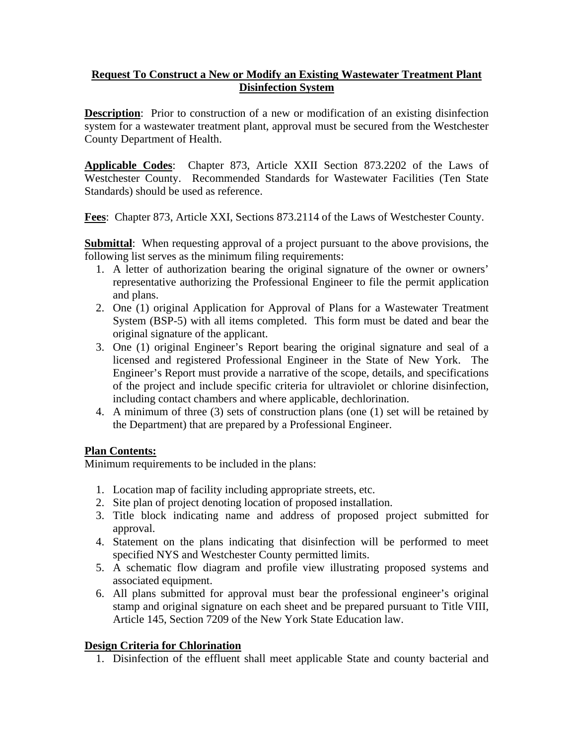### **Request To Construct a New or Modify an Existing Wastewater Treatment Plant Disinfection System**

**Description**: Prior to construction of a new or modification of an existing disinfection system for a wastewater treatment plant, approval must be secured from the Westchester County Department of Health.

**Applicable Codes**: Chapter 873, Article XXII Section 873.2202 of the Laws of Westchester County. Recommended Standards for Wastewater Facilities (Ten State Standards) should be used as reference.

**Fees**: Chapter 873, Article XXI, Sections 873.2114 of the Laws of Westchester County.

**Submittal**: When requesting approval of a project pursuant to the above provisions, the following list serves as the minimum filing requirements:

- 1. A letter of authorization bearing the original signature of the owner or owners' representative authorizing the Professional Engineer to file the permit application and plans.
- 2. One (1) original Application for Approval of Plans for a Wastewater Treatment System (BSP-5) with all items completed. This form must be dated and bear the original signature of the applicant.
- 3. One (1) original Engineer's Report bearing the original signature and seal of a licensed and registered Professional Engineer in the State of New York. The Engineer's Report must provide a narrative of the scope, details, and specifications of the project and include specific criteria for ultraviolet or chlorine disinfection, including contact chambers and where applicable, dechlorination.
- 4. A minimum of three (3) sets of construction plans (one (1) set will be retained by the Department) that are prepared by a Professional Engineer.

### **Plan Contents:**

Minimum requirements to be included in the plans:

- 1. Location map of facility including appropriate streets, etc.
- 2. Site plan of project denoting location of proposed installation.
- 3. Title block indicating name and address of proposed project submitted for approval.
- 4. Statement on the plans indicating that disinfection will be performed to meet specified NYS and Westchester County permitted limits.
- 5. A schematic flow diagram and profile view illustrating proposed systems and associated equipment.
- 6. All plans submitted for approval must bear the professional engineer's original stamp and original signature on each sheet and be prepared pursuant to Title VIII, Article 145, Section 7209 of the New York State Education law.

# **Design Criteria for Chlorination**

1. Disinfection of the effluent shall meet applicable State and county bacterial and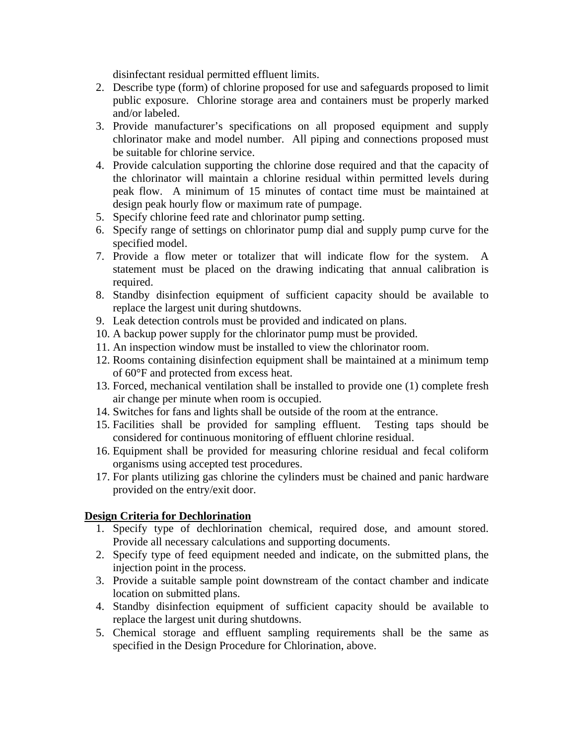disinfectant residual permitted effluent limits.

- 2. Describe type (form) of chlorine proposed for use and safeguards proposed to limit public exposure. Chlorine storage area and containers must be properly marked and/or labeled.
- 3. Provide manufacturer's specifications on all proposed equipment and supply chlorinator make and model number. All piping and connections proposed must be suitable for chlorine service.
- 4. Provide calculation supporting the chlorine dose required and that the capacity of the chlorinator will maintain a chlorine residual within permitted levels during peak flow. A minimum of 15 minutes of contact time must be maintained at design peak hourly flow or maximum rate of pumpage.
- 5. Specify chlorine feed rate and chlorinator pump setting.
- 6. Specify range of settings on chlorinator pump dial and supply pump curve for the specified model.
- 7. Provide a flow meter or totalizer that will indicate flow for the system. A statement must be placed on the drawing indicating that annual calibration is required.
- 8. Standby disinfection equipment of sufficient capacity should be available to replace the largest unit during shutdowns.
- 9. Leak detection controls must be provided and indicated on plans.
- 10. A backup power supply for the chlorinator pump must be provided.
- 11. An inspection window must be installed to view the chlorinator room.
- 12. Rooms containing disinfection equipment shall be maintained at a minimum temp of 60°F and protected from excess heat.
- 13. Forced, mechanical ventilation shall be installed to provide one (1) complete fresh air change per minute when room is occupied.
- 14. Switches for fans and lights shall be outside of the room at the entrance.
- 15. Facilities shall be provided for sampling effluent. Testing taps should be considered for continuous monitoring of effluent chlorine residual.
- 16. Equipment shall be provided for measuring chlorine residual and fecal coliform organisms using accepted test procedures.
- 17. For plants utilizing gas chlorine the cylinders must be chained and panic hardware provided on the entry/exit door.

### **Design Criteria for Dechlorination**

- 1. Specify type of dechlorination chemical, required dose, and amount stored. Provide all necessary calculations and supporting documents.
- 2. Specify type of feed equipment needed and indicate, on the submitted plans, the injection point in the process.
- 3. Provide a suitable sample point downstream of the contact chamber and indicate location on submitted plans.
- 4. Standby disinfection equipment of sufficient capacity should be available to replace the largest unit during shutdowns.
- 5. Chemical storage and effluent sampling requirements shall be the same as specified in the Design Procedure for Chlorination, above.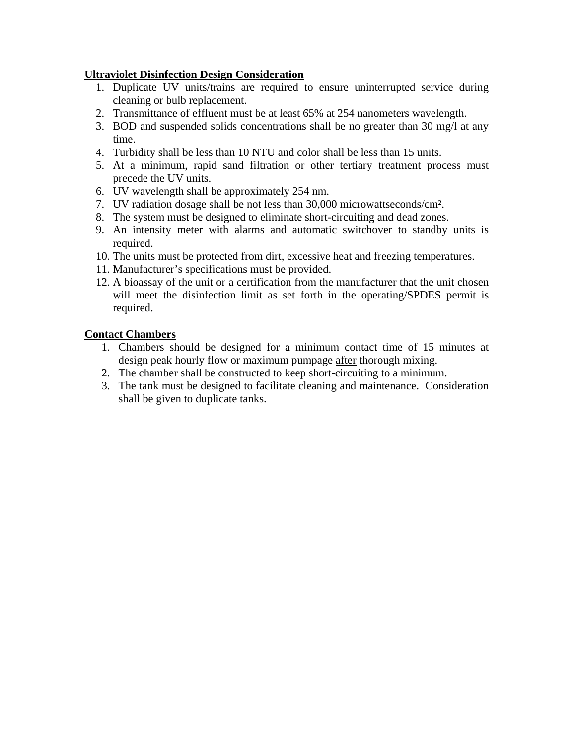## **Ultraviolet Disinfection Design Consideration**

- 1. Duplicate UV units/trains are required to ensure uninterrupted service during cleaning or bulb replacement.
- 2. Transmittance of effluent must be at least 65% at 254 nanometers wavelength.
- 3. BOD and suspended solids concentrations shall be no greater than 30 mg/l at any time.
- 4. Turbidity shall be less than 10 NTU and color shall be less than 15 units.
- 5. At a minimum, rapid sand filtration or other tertiary treatment process must precede the UV units.
- 6. UV wavelength shall be approximately 254 nm.
- 7. UV radiation dosage shall be not less than 30,000 microwattseconds/cm².
- 8. The system must be designed to eliminate short-circuiting and dead zones.
- 9. An intensity meter with alarms and automatic switchover to standby units is required.
- 10. The units must be protected from dirt, excessive heat and freezing temperatures.
- 11. Manufacturer's specifications must be provided.
- 12. A bioassay of the unit or a certification from the manufacturer that the unit chosen will meet the disinfection limit as set forth in the operating/SPDES permit is required.

## **Contact Chambers**

- 1. Chambers should be designed for a minimum contact time of 15 minutes at design peak hourly flow or maximum pumpage after thorough mixing.
- 2. The chamber shall be constructed to keep short-circuiting to a minimum.
- 3. The tank must be designed to facilitate cleaning and maintenance. Consideration shall be given to duplicate tanks.